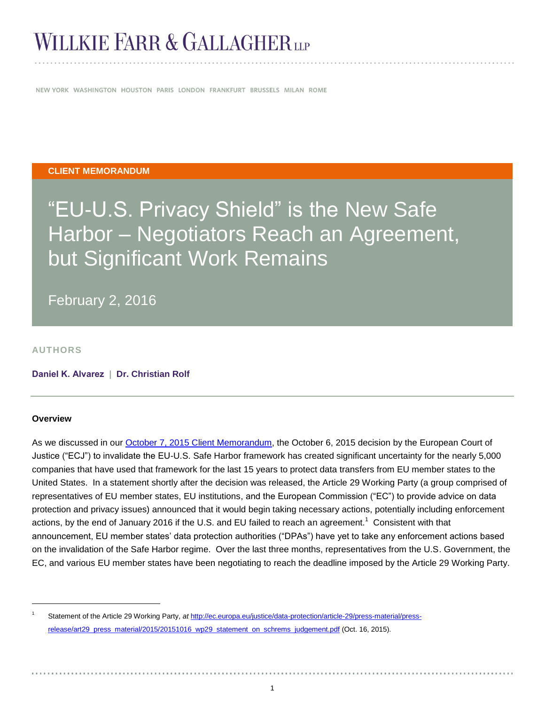# WILLKIE FARR & GALLAGHER LLP

NEW YORK WASHINGTON HOUSTON PARIS LONDON FRANKFURT BRUSSELS MILAN ROME

### **CLIENT MEMORANDUM**

# "EU-U.S. Privacy Shield" is the New Safe Harbor – Negotiators Reach an Agreement, but Significant Work Remains

February 2, 2016

**AUTHORS**

**[Daniel K. Alvarez](http://www.willkie.com/professionals/a/alvarez-daniel) | [Dr. Christian Rolf](http://www.willkie.com/professionals/r/rolf-christian)**

#### **Overview**

l

As we discussed in our [October 7, 2015 Client Memorandum,](http://www.willkie.com/~/media/Files/Publications/2015/10/European_Court_of_Justice_Declares_EU_US_Safe_Harbor_Framework_Invalid.pdf) the October 6, 2015 decision by the European Court of Justice ("ECJ") to invalidate the EU-U.S. Safe Harbor framework has created significant uncertainty for the nearly 5,000 companies that have used that framework for the last 15 years to protect data transfers from EU member states to the United States. In a statement shortly after the decision was released, the Article 29 Working Party (a group comprised of representatives of EU member states, EU institutions, and the European Commission ("EC") to provide advice on data protection and privacy issues) announced that it would begin taking necessary actions, potentially including enforcement actions, by the end of January 2016 if the U.S. and EU failed to reach an agreement.<sup>1</sup> Consistent with that announcement, EU member states' data protection authorities ("DPAs") have yet to take any enforcement actions based on the invalidation of the Safe Harbor regime. Over the last three months, representatives from the U.S. Government, the EC, and various EU member states have been negotiating to reach the deadline imposed by the Article 29 Working Party.

<sup>1</sup> Statement of the Article 29 Working Party, *at* [http://ec.europa.eu/justice/data-protection/article-29/press-material/press](http://ec.europa.eu/justice/data-protection/article-29/press-material/press-release/art29_press_material/2015/20151016_wp29_statement_on_schrems_judgement.pdf)[release/art29\\_press\\_material/2015/20151016\\_wp29\\_statement\\_on\\_schrems\\_judgement.pdf](http://ec.europa.eu/justice/data-protection/article-29/press-material/press-release/art29_press_material/2015/20151016_wp29_statement_on_schrems_judgement.pdf) (Oct. 16, 2015).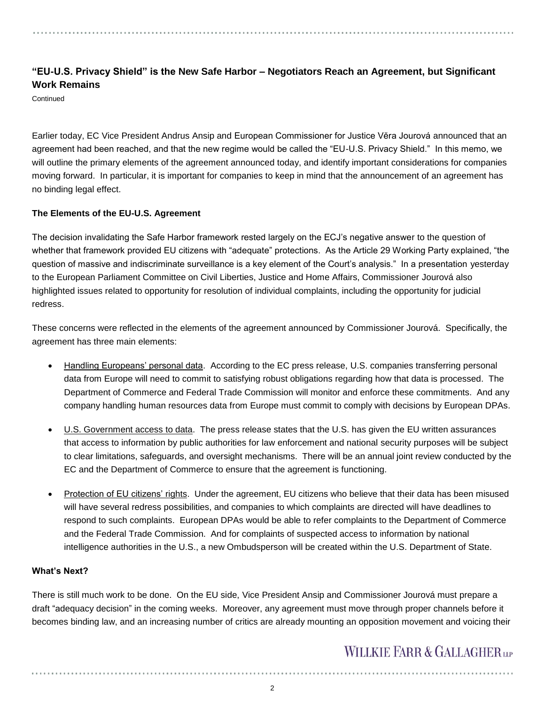### **"EU-U.S. Privacy Shield" is the New Safe Harbor – Negotiators Reach an Agreement, but Significant Work Remains**

**Continued** 

Earlier today, EC Vice President Andrus Ansip and European Commissioner for Justice Vĕra Jourová announced that an agreement had been reached, and that the new regime would be called the "EU-U.S. Privacy Shield." In this memo, we will outline the primary elements of the agreement announced today, and identify important considerations for companies moving forward. In particular, it is important for companies to keep in mind that the announcement of an agreement has no binding legal effect.

### **The Elements of the EU-U.S. Agreement**

The decision invalidating the Safe Harbor framework rested largely on the ECJ's negative answer to the question of whether that framework provided EU citizens with "adequate" protections. As the Article 29 Working Party explained, "the question of massive and indiscriminate surveillance is a key element of the Court's analysis." In a presentation yesterday to the European Parliament Committee on Civil Liberties, Justice and Home Affairs, Commissioner Jourová also highlighted issues related to opportunity for resolution of individual complaints, including the opportunity for judicial redress.

These concerns were reflected in the elements of the agreement announced by Commissioner Jourová. Specifically, the agreement has three main elements:

- Handling Europeans' personal data. According to the EC press release, U.S. companies transferring personal data from Europe will need to commit to satisfying robust obligations regarding how that data is processed. The Department of Commerce and Federal Trade Commission will monitor and enforce these commitments. And any company handling human resources data from Europe must commit to comply with decisions by European DPAs.
- U.S. Government access to data. The press release states that the U.S. has given the EU written assurances that access to information by public authorities for law enforcement and national security purposes will be subject to clear limitations, safeguards, and oversight mechanisms. There will be an annual joint review conducted by the EC and the Department of Commerce to ensure that the agreement is functioning.
- Protection of EU citizens' rights. Under the agreement, EU citizens who believe that their data has been misused will have several redress possibilities, and companies to which complaints are directed will have deadlines to respond to such complaints. European DPAs would be able to refer complaints to the Department of Commerce and the Federal Trade Commission. And for complaints of suspected access to information by national intelligence authorities in the U.S., a new Ombudsperson will be created within the U.S. Department of State.

### **What's Next?**

There is still much work to be done. On the EU side, Vice President Ansip and Commissioner Jourová must prepare a draft "adequacy decision" in the coming weeks. Moreover, any agreement must move through proper channels before it becomes binding law, and an increasing number of critics are already mounting an opposition movement and voicing their

## **WILLKIE FARR & GALLAGHERUP**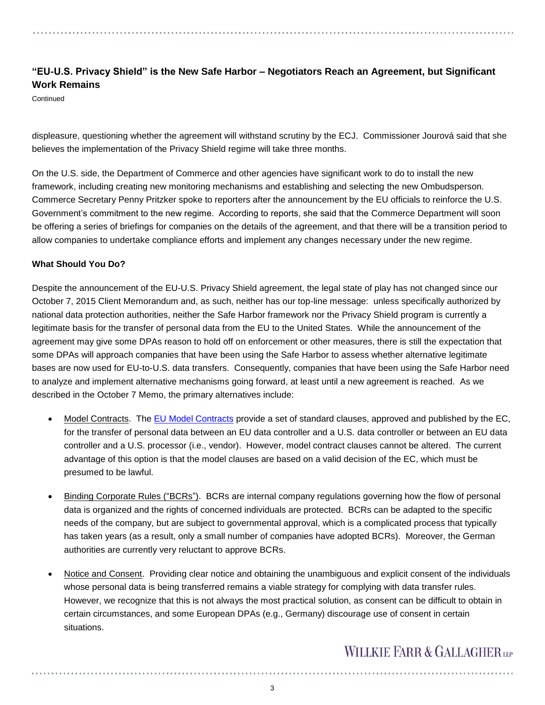### **"EU-U.S. Privacy Shield" is the New Safe Harbor – Negotiators Reach an Agreement, but Significant Work Remains**

**Continued** 

displeasure, questioning whether the agreement will withstand scrutiny by the ECJ. Commissioner Jourová said that she believes the implementation of the Privacy Shield regime will take three months.

On the U.S. side, the Department of Commerce and other agencies have significant work to do to install the new framework, including creating new monitoring mechanisms and establishing and selecting the new Ombudsperson. Commerce Secretary Penny Pritzker spoke to reporters after the announcement by the EU officials to reinforce the U.S. Government's commitment to the new regime. According to reports, she said that the Commerce Department will soon be offering a series of briefings for companies on the details of the agreement, and that there will be a transition period to allow companies to undertake compliance efforts and implement any changes necessary under the new regime.

### **What Should You Do?**

Despite the announcement of the EU-U.S. Privacy Shield agreement, the legal state of play has not changed since our October 7, 2015 Client Memorandum and, as such, neither has our top-line message: unless specifically authorized by national data protection authorities, neither the Safe Harbor framework nor the Privacy Shield program is currently a legitimate basis for the transfer of personal data from the EU to the United States. While the announcement of the agreement may give some DPAs reason to hold off on enforcement or other measures, there is still the expectation that some DPAs will approach companies that have been using the Safe Harbor to assess whether alternative legitimate bases are now used for EU-to-U.S. data transfers. Consequently, companies that have been using the Safe Harbor need to analyze and implement alternative mechanisms going forward, at least until a new agreement is reached. As we described in the October 7 Memo, the primary alternatives include:

- Model Contracts. The [EU Model Contracts](http://ec.europa.eu/justice/data-protection/international-transfers/transfer/index_en.htm) provide a set of standard clauses, approved and published by the EC, for the transfer of personal data between an EU data controller and a U.S. data controller or between an EU data controller and a U.S. processor (i.e., vendor). However, model contract clauses cannot be altered. The current advantage of this option is that the model clauses are based on a valid decision of the EC, which must be presumed to be lawful.
- Binding Corporate Rules ("BCRs"). BCRs are internal company regulations governing how the flow of personal data is organized and the rights of concerned individuals are protected. BCRs can be adapted to the specific needs of the company, but are subject to governmental approval, which is a complicated process that typically has taken years (as a result, only a small number of companies have adopted BCRs). Moreover, the German authorities are currently very reluctant to approve BCRs.
- Notice and Consent. Providing clear notice and obtaining the unambiguous and explicit consent of the individuals whose personal data is being transferred remains a viable strategy for complying with data transfer rules. However, we recognize that this is not always the most practical solution, as consent can be difficult to obtain in certain circumstances, and some European DPAs (e.g., Germany) discourage use of consent in certain situations.

## **WILLKIE FARR & GALLAGHERUP**